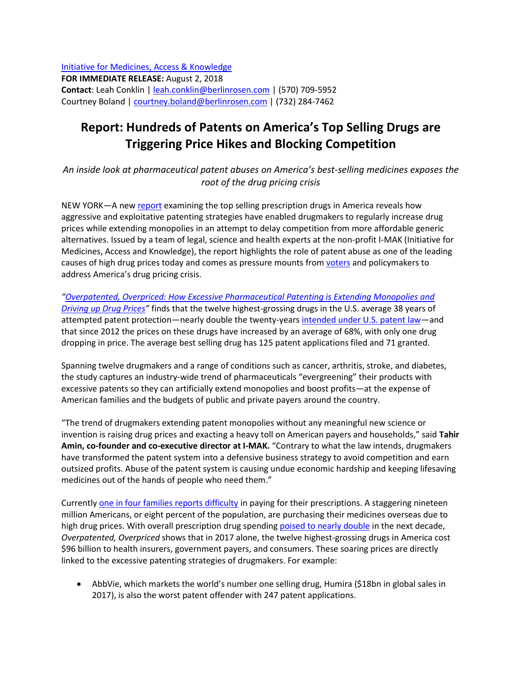[Initiative for Medicines, Access & Knowledge](http://www.i-mak.org/) **FOR IMMEDIATE RELEASE:** August 2, 2018 **Contact**: Leah Conklin [| leah.conklin@berlinrosen.com](mailto:leah.conklin@berlinrosen.com) | (570) 709-5952 Courtney Boland | [courtney.boland@berlinrosen.com](mailto:courtney.boland@berlinrosen.com) | (732) 284-7462

## **Report: Hundreds of Patents on America's Top Selling Drugs are Triggering Price Hikes and Blocking Competition**

*An inside look at pharmaceutical patent abuses on America's best-selling medicines exposes the root of the drug pricing crisis*

NEW YORK—A ne[w report](http://www.i-mak.org/overpatented-overpriced-excessive-pharmaceutical-patenting-extending-monopolies-driving-drug-prices/) examining the top selling prescription drugs in America reveals how aggressive and exploitative patenting strategies have enabled drugmakers to regularly increase drug prices while extending monopolies in an attempt to delay competition from more affordable generic alternatives. Issued by a team of legal, science and health experts at the non-profit I-MAK (Initiative for Medicines, Access and Knowledge), the report highlights the role of patent abuse as one of the leading causes of high drug prices today and comes as pressure mounts from [voters](https://www.hsph.harvard.edu/horp/politico-harvard-t-h-chan-school-of-public-health-polls/) and policymakers to address America's drug pricing crisis.

*"[Overpatented, Overpriced: How Excessive Pharmaceutical Patenting is Extending Monopolies and](http://www.i-mak.org/overpatented-overpriced-excessive-pharmaceutical-patenting-extending-monopolies-driving-drug-prices/)  [Driving up Drug Prices](http://www.i-mak.org/overpatented-overpriced-excessive-pharmaceutical-patenting-extending-monopolies-driving-drug-prices/)"* finds that the twelve highest-grossing drugs in the U.S. average 38 years of attempted patent protection—nearly double the twenty-years [intended under U.S. patent law](https://www.uspto.gov/web/offices/pac/mpep/s2701.html)—and that since 2012 the prices on these drugs have increased by an average of 68%, with only one drug dropping in price. The average best selling drug has 125 patent applications filed and 71 granted.

Spanning twelve drugmakers and a range of conditions such as cancer, arthritis, stroke, and diabetes, the study captures an industry-wide trend of pharmaceuticals "evergreening" their products with excessive patents so they can artificially extend monopolies and boost profits—at the expense of American families and the budgets of public and private payers around the country.

"The trend of drugmakers extending patent monopolies without any meaningful new science or invention is raising drug prices and exacting a heavy toll on American payers and households," said **Tahir Amin, co-founder and co-executive director at I-MAK.** "Contrary to what the law intends, drugmakers have transformed the patent system into a defensive business strategy to avoid competition and earn outsized profits. Abuse of the patent system is causing undue economic hardship and keeping lifesaving medicines out of the hands of people who need them."

Currently [one in four families reports difficulty](http://files.kff.org/attachment/Kaiser-Health-Tracking-Poll-September-2016) in paying for their prescriptions. A staggering nineteen million Americans, or eight percent of the population, are purchasing their medicines overseas due to high drug prices. With overall prescription drug spending [poised to nearly double](https://www.cms.gov/Newsroom/MediaReleaseDatabase/Press-releases/2017-Press-releases-items/2017-02-15-2.html) in the next decade, *Overpatented, Overpriced* shows that in 2017 alone, the twelve highest-grossing drugs in America cost \$96 billion to health insurers, government payers, and consumers. These soaring prices are directly linked to the excessive patenting strategies of drugmakers. For example:

 AbbVie, which markets the world's number one selling drug, Humira (\$18bn in global sales in 2017), is also the worst patent offender with 247 patent applications.